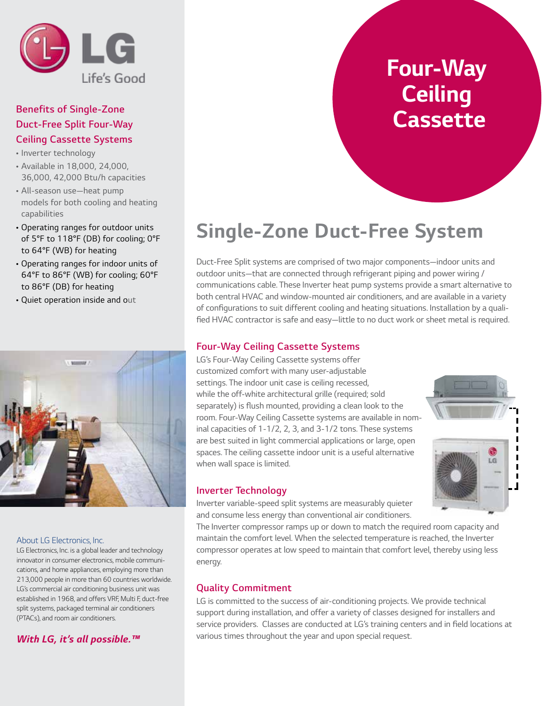

### *Benefits of Single-Zone Duct-Free Split Four-Way Ceiling Cassette Systems*

- *Inverter technology*
- *Available in 18,000, 24,000, 36,000, 42,000 Btu/h capacities*
- *All-season use—heat pump models for both cooling and heating capabilities*
- *Operating ranges for outdoor units*  of 5°F to 118°F (DB) for cooling; 0°F *to 64°F (WB) for heating*
- *Operating ranges for indoor units of*  64°F to 86°F (WB) for cooling; 60°F *to 86°F (DB) for heating*
- *Quiet operation inside and out*



#### *About LG Electronics, Inc.*

*LG Electronics, Inc. is a global leader and technology innovator in consumer electronics, mobile communications, and home appliances, employing more than 213,000 people in more than 60 countries worldwide. LG's commercial air conditioning business unit was established in 1968, and offers VRF, Multi F, duct-free split systems, packaged terminal air conditioners (PTACs), and room air conditioners.*

#### *With LG, it's all possible.™*

## *Four-Way Ceiling Cassette*

## *Single-Zone Duct-Free System*

*Duct-Free Split systems are comprised of two major components—indoor units and outdoor units—that are connected through refrigerant piping and power wiring / communications cable. These Inverter heat pump systems provide a smart alternative to both central HVAC and window-mounted air conditioners, and are available in a variety*  of configurations to suit different cooling and heating situations. Installation by a qualified HVAC contractor is safe and easy—little to no duct work or sheet metal is required.

#### *Four-Way Ceiling Cassette Systems*

*LG's Four-Way Ceiling Cassette systems offer customized comfort with many user-adjustable settings. The indoor unit case is ceiling recessed,*  while the off-white architectural grille (required; sold separately) is flush mounted, providing a clean look to the *room. Four-Way Ceiling Cassette systems are available in nominal capacities of 1-1/2, 2, 3, and 3-1/2 tons. These systems are best suited in light commercial applications or large, open*  spaces. The ceiling cassette indoor unit is a useful alternative *when wall space is limited.* 



#### *Inverter Technology*

Inverter variable-speed split systems are measurably quieter *and consume less energy than conventional air conditioners.* 

The Inverter compressor ramps up or down to match the required room capacity and maintain the comfort level. When the selected temperature is reached, the Inverter *compressor operates at low speed to maintain that comfort level, thereby using less energy.*

#### *Quality Commitment*

LG is committed to the success of air-conditioning projects. We provide technical *support during installation, and offer a variety of classes designed for installers and*  service providers. Classes are conducted at LG's training centers and in field locations at various times throughout the year and upon special request.